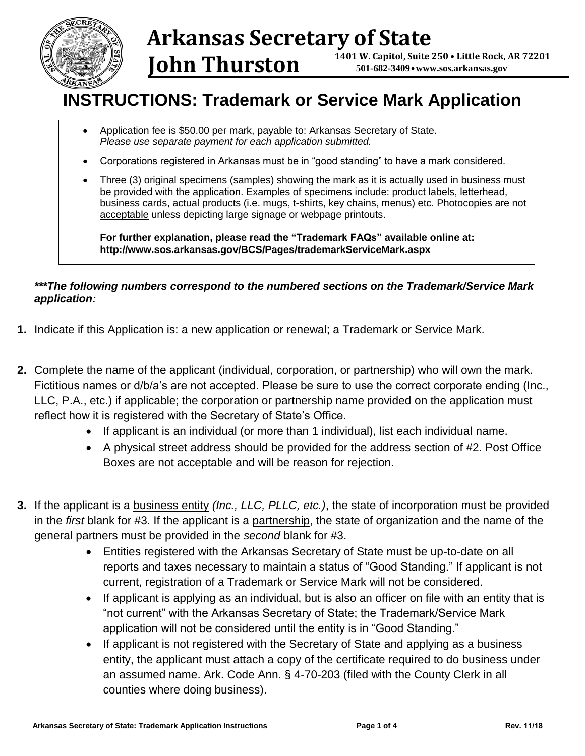

### **Arkansas Secretary of State 1401 W. Capitol, Suite 250 • Little Rock, AR 72201 501-682-3409 •[www.sos.arkansas.gov](http://www.sos.arkansas.gov/) John Thurston**

# **INSTRUCTIONS: Trademark or Service Mark Application**

- Application fee is \$50.00 per mark, payable to: Arkansas Secretary of State. *Please use separate payment for each application submitted.*
- Corporations registered in Arkansas must be in "good standing" to have a mark considered.
- Three (3) original specimens (samples) showing the mark as it is actually used in business must be provided with the application. Examples of specimens include: product labels, letterhead, business cards, actual products (i.e. mugs, t-shirts, key chains, menus) etc. Photocopies are not acceptable unless depicting large signage or webpage printouts.

**For further explanation, please read the "Trademark FAQs" available online at: http://www.sos.arkansas.gov/BCS/Pages/trademarkServiceMark.aspx**

# *\*\*\*The following numbers correspond to the numbered sections on the Trademark/Service Mark application:*

- **1.** Indicate if this Application is: a new application or renewal; a Trademark or Service Mark.
- **2.** Complete the name of the applicant (individual, corporation, or partnership) who will own the mark. Fictitious names or d/b/a's are not accepted. Please be sure to use the correct corporate ending (Inc., LLC, P.A., etc.) if applicable; the corporation or partnership name provided on the application must reflect how it is registered with the Secretary of State's Office.
	- If applicant is an individual (or more than 1 individual), list each individual name.
	- A physical street address should be provided for the address section of #2. Post Office Boxes are not acceptable and will be reason for rejection.
- **3.** If the applicant is a business entity *(Inc., LLC, PLLC, etc.)*, the state of incorporation must be provided in the *first* blank for #3. If the applicant is a partnership, the state of organization and the name of the general partners must be provided in the *second* blank for #3.
	- Entities registered with the Arkansas Secretary of State must be up-to-date on all reports and taxes necessary to maintain a status of "Good Standing." If applicant is not current, registration of a Trademark or Service Mark will not be considered.
	- If applicant is applying as an individual, but is also an officer on file with an entity that is "not current" with the Arkansas Secretary of State; the Trademark/Service Mark application will not be considered until the entity is in "Good Standing."
	- If applicant is not registered with the Secretary of State and applying as a business entity, the applicant must attach a copy of the certificate required to do business under an assumed name. Ark. Code Ann. § 4-70-203 (filed with the County Clerk in all counties where doing business).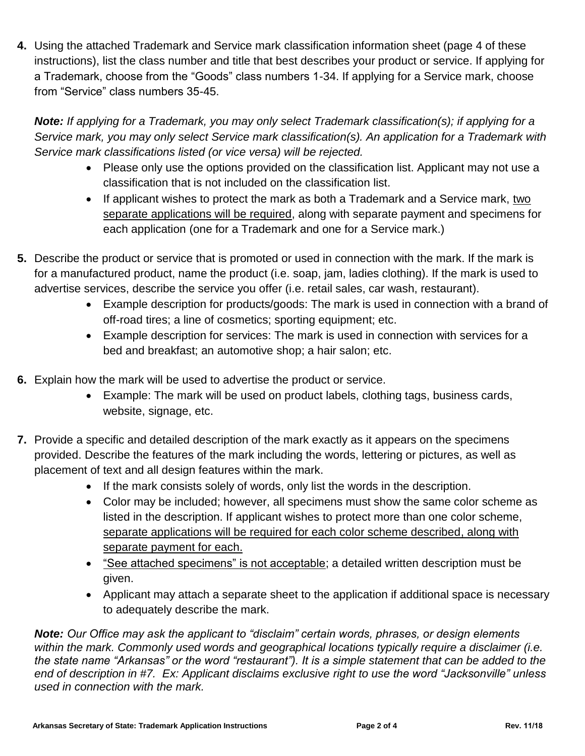**4.** Using the attached Trademark and Service mark classification information sheet (page 4 of these instructions), list the class number and title that best describes your product or service. If applying for a Trademark, choose from the "Goods" class numbers 1-34. If applying for a Service mark, choose from "Service" class numbers 35-45.

*Note: If applying for a Trademark, you may only select Trademark classification(s); if applying for a Service mark, you may only select Service mark classification(s). An application for a Trademark with Service mark classifications listed (or vice versa) will be rejected.*

- Please only use the options provided on the classification list. Applicant may not use a classification that is not included on the classification list.
- If applicant wishes to protect the mark as both a Trademark and a Service mark, two separate applications will be required, along with separate payment and specimens for each application (one for a Trademark and one for a Service mark.)
- **5.** Describe the product or service that is promoted or used in connection with the mark. If the mark is for a manufactured product, name the product (i.e. soap, jam, ladies clothing). If the mark is used to advertise services, describe the service you offer (i.e. retail sales, car wash, restaurant).
	- Example description for products/goods: The mark is used in connection with a brand of off-road tires; a line of cosmetics; sporting equipment; etc.
	- Example description for services: The mark is used in connection with services for a bed and breakfast; an automotive shop; a hair salon; etc.
- **6.** Explain how the mark will be used to advertise the product or service.
	- Example: The mark will be used on product labels, clothing tags, business cards, website, signage, etc.
- **7.** Provide a specific and detailed description of the mark exactly as it appears on the specimens provided. Describe the features of the mark including the words, lettering or pictures, as well as placement of text and all design features within the mark.
	- If the mark consists solely of words, only list the words in the description.
	- Color may be included; however, all specimens must show the same color scheme as listed in the description. If applicant wishes to protect more than one color scheme, separate applications will be required for each color scheme described, along with separate payment for each.
	- "See attached specimens" is not acceptable; a detailed written description must be given.
	- Applicant may attach a separate sheet to the application if additional space is necessary to adequately describe the mark.

*Note: Our Office may ask the applicant to "disclaim" certain words, phrases, or design elements within the mark. Commonly used words and geographical locations typically require a disclaimer (i.e. the state name "Arkansas" or the word "restaurant"). It is a simple statement that can be added to the end of description in #7. Ex: Applicant disclaims exclusive right to use the word "Jacksonville" unless used in connection with the mark.*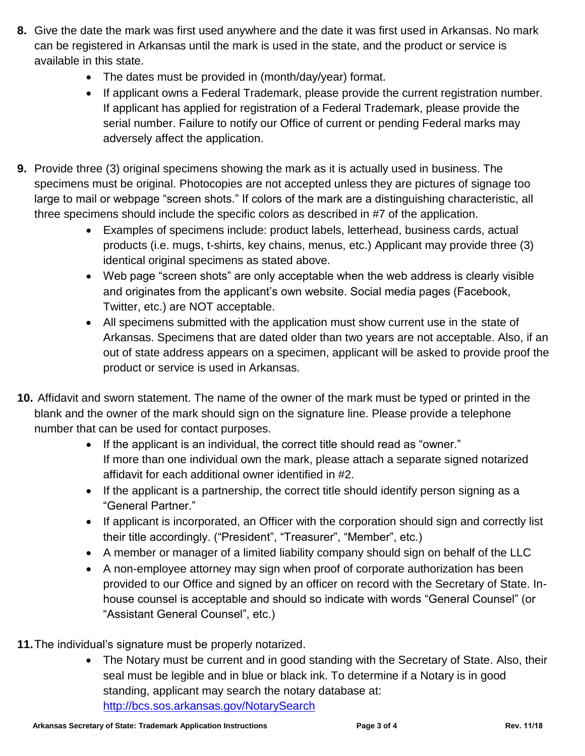- **8.** Give the date the mark was first used anywhere and the date it was first used in Arkansas. No mark can be registered in Arkansas until the mark is used in the state, and the product or service is available in this state.
	- The dates must be provided in (month/day/year) format.
	- If applicant owns a Federal Trademark, please provide the current registration number. If applicant has applied for registration of a Federal Trademark, please provide the serial number. Failure to notify our Office of current or pending Federal marks may adversely affect the application.
- **9.** Provide three (3) original specimens showing the mark as it is actually used in business. The specimens must be original. Photocopies are not accepted unless they are pictures of signage too large to mail or webpage "screen shots." If colors of the mark are a distinguishing characteristic, all three specimens should include the specific colors as described in #7 of the application.
	- Examples of specimens include: product labels, letterhead, business cards, actual products (i.e. mugs, t-shirts, key chains, menus, etc.) Applicant may provide three (3) identical original specimens as stated above.
	- Web page "screen shots" are only acceptable when the web address is clearly visible and originates from the applicant's own website. Social media pages (Facebook, Twitter, etc.) are NOT acceptable.
	- All specimens submitted with the application must show current use in the state of Arkansas. Specimens that are dated older than two years are not acceptable. Also, if an out of state address appears on a specimen, applicant will be asked to provide proof the product or service is used in Arkansas.
- **10.** Affidavit and sworn statement. The name of the owner of the mark must be typed or printed in the blank and the owner of the mark should sign on the signature line. Please provide a telephone number that can be used for contact purposes.
	- If the applicant is an individual, the correct title should read as "owner." If more than one individual own the mark, please attach a separate signed notarized affidavit for each additional owner identified in #2.
	- If the applicant is a partnership, the correct title should identify person signing as a "General Partner."
	- If applicant is incorporated, an Officer with the corporation should sign and correctly list their title accordingly. ("President", "Treasurer", "Member", etc.)
	- A member or manager of a limited liability company should sign on behalf of the LLC
	- A non-employee attorney may sign when proof of corporate authorization has been provided to our Office and signed by an officer on record with the Secretary of State. Inhouse counsel is acceptable and should so indicate with words "General Counsel" (or "Assistant General Counsel", etc.)
- **11.**The individual's signature must be properly notarized.
	- The Notary must be current and in good standing with the Secretary of State. Also, their seal must be legible and in blue or black ink. To determine if a Notary is in good standing, applicant may search the notary database at: <http://bcs.sos.arkansas.gov/NotarySearch>